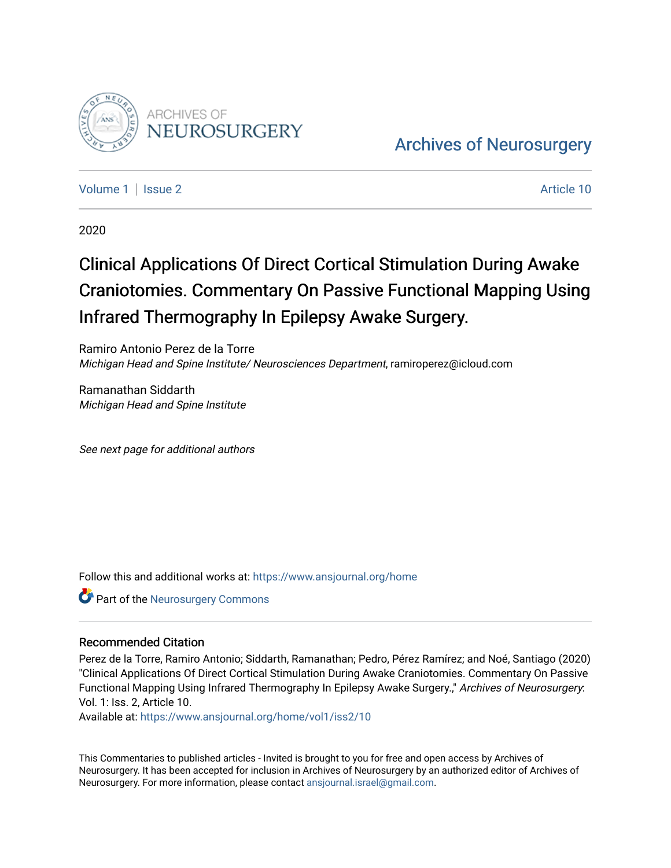

**Archiv[es of Neurosurgery](https://www.ansjournal.org/home)** 

[Volume 1](https://www.ansjournal.org/home/vol1) | [Issue 2](https://www.ansjournal.org/home/vol1/iss2) Article 10

2020

# Clinical Applications Of Direct Cortical Stimulation During Awake Craniotomies. Commentary On Passive Functional Mapping Using Infrared Thermography In Epilepsy Awake Surgery.

Ramiro Antonio Perez de la Torre Michigan Head and Spine Institute/ Neurosciences Department, ramiroperez@icloud.com

Ramanathan Siddarth Michigan Head and Spine Institute

See next page for additional authors

Follow this and additional works at: [https://www.ansjournal.org/home](https://www.ansjournal.org/home?utm_source=www.ansjournal.org%2Fhome%2Fvol1%2Fiss2%2F10&utm_medium=PDF&utm_campaign=PDFCoverPages) 

**Part of the Neurosurgery Commons** 

## Recommended Citation

Perez de la Torre, Ramiro Antonio; Siddarth, Ramanathan; Pedro, Pérez Ramírez; and Noé, Santiago (2020) "Clinical Applications Of Direct Cortical Stimulation During Awake Craniotomies. Commentary On Passive Functional Mapping Using Infrared Thermography In Epilepsy Awake Surgery." Archives of Neurosurgery: Vol. 1: Iss. 2, Article 10.

Available at: [https://www.ansjournal.org/home/vol1/iss2/10](https://www.ansjournal.org/home/vol1/iss2/10?utm_source=www.ansjournal.org%2Fhome%2Fvol1%2Fiss2%2F10&utm_medium=PDF&utm_campaign=PDFCoverPages) 

This Commentaries to published articles - Invited is brought to you for free and open access by Archives of Neurosurgery. It has been accepted for inclusion in Archives of Neurosurgery by an authorized editor of Archives of Neurosurgery. For more information, please contact [ansjournal.israel@gmail.com](mailto:ansjournal.israel@gmail.com).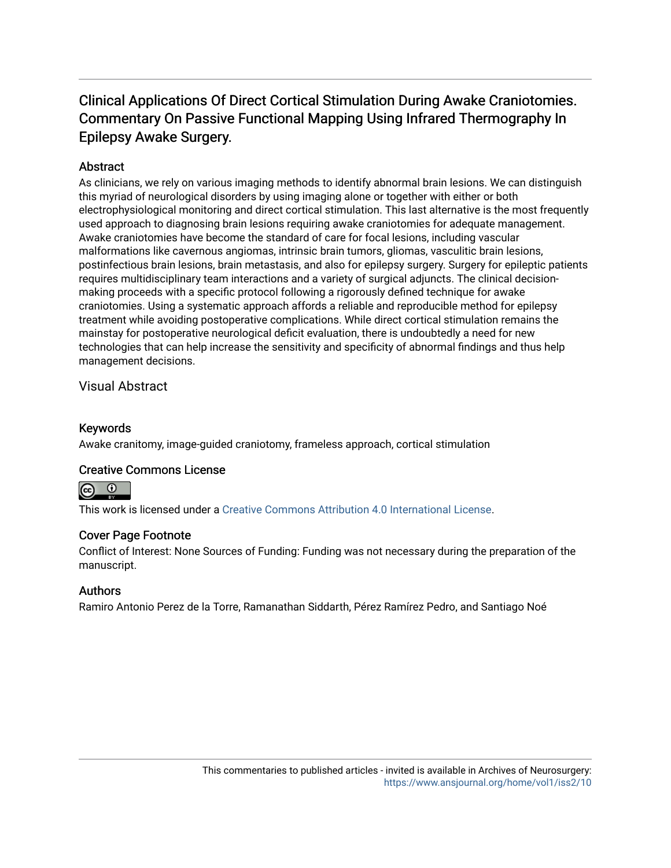# Clinical Applications Of Direct Cortical Stimulation During Awake Craniotomies. Commentary On Passive Functional Mapping Using Infrared Thermography In Epilepsy Awake Surgery.

# **Abstract**

As clinicians, we rely on various imaging methods to identify abnormal brain lesions. We can distinguish this myriad of neurological disorders by using imaging alone or together with either or both electrophysiological monitoring and direct cortical stimulation. This last alternative is the most frequently used approach to diagnosing brain lesions requiring awake craniotomies for adequate management. Awake craniotomies have become the standard of care for focal lesions, including vascular malformations like cavernous angiomas, intrinsic brain tumors, gliomas, vasculitic brain lesions, postinfectious brain lesions, brain metastasis, and also for epilepsy surgery. Surgery for epileptic patients requires multidisciplinary team interactions and a variety of surgical adjuncts. The clinical decisionmaking proceeds with a specific protocol following a rigorously defined technique for awake craniotomies. Using a systematic approach affords a reliable and reproducible method for epilepsy treatment while avoiding postoperative complications. While direct cortical stimulation remains the mainstay for postoperative neurological deficit evaluation, there is undoubtedly a need for new technologies that can help increase the sensitivity and specificity of abnormal findings and thus help management decisions.

Visual Abstract

# Keywords

Awake cranitomy, image-guided craniotomy, frameless approach, cortical stimulation

## Creative Commons License



This work is licensed under a [Creative Commons Attribution 4.0 International License.](https://creativecommons.org/licenses/by/4.0/)

## Cover Page Footnote

Conflict of Interest: None Sources of Funding: Funding was not necessary during the preparation of the manuscript.

## Authors

Ramiro Antonio Perez de la Torre, Ramanathan Siddarth, Pérez Ramírez Pedro, and Santiago Noé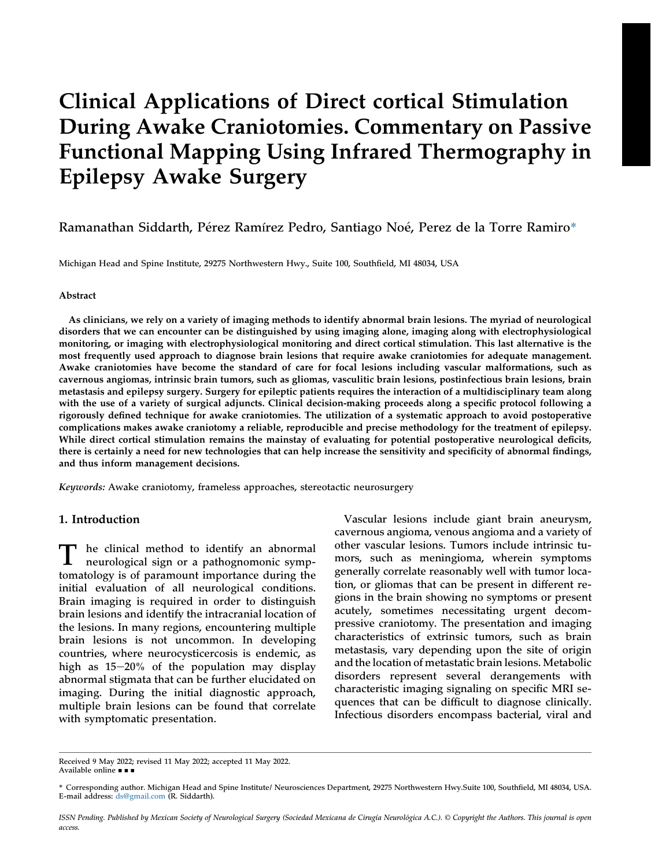# Clinical Applications of Direct cortical Stimulation During Awake Craniotomies. Commentary on Passive Functional Mapping Using Infrared Thermography in Epilepsy Awake Surgery

## Ramanathan Siddarth, Pérez Ramírez Pedro, Santiago Noé, Perez de la Torre Ramiro\*

Michigan Head and Spine Institute, 29275 Northwestern Hwy., Suite 100, Southfield, MI 48034, USA

#### Abstract

As clinicians, we rely on a variety of imaging methods to identify abnormal brain lesions. The myriad of neurological disorders that we can encounter can be distinguished by using imaging alone, imaging along with electrophysiological monitoring, or imaging with electrophysiological monitoring and direct cortical stimulation. This last alternative is the most frequently used approach to diagnose brain lesions that require awake craniotomies for adequate management. Awake craniotomies have become the standard of care for focal lesions including vascular malformations, such as cavernous angiomas, intrinsic brain tumors, such as gliomas, vasculitic brain lesions, postinfectious brain lesions, brain metastasis and epilepsy surgery. Surgery for epileptic patients requires the interaction of a multidisciplinary team along with the use of a variety of surgical adjuncts. Clinical decision-making proceeds along a specific protocol following a rigorously defined technique for awake craniotomies. The utilization of a systematic approach to avoid postoperative complications makes awake craniotomy a reliable, reproducible and precise methodology for the treatment of epilepsy. While direct cortical stimulation remains the mainstay of evaluating for potential postoperative neurological deficits, there is certainly a need for new technologies that can help increase the sensitivity and specificity of abnormal findings, and thus inform management decisions.

Keywords: Awake craniotomy, frameless approaches, stereotactic neurosurgery

#### 1. Introduction

T he clinical method to identify an abnormal neurological sign or a pathognomonic symptomatology is of paramount importance during the initial evaluation of all neurological conditions. Brain imaging is required in order to distinguish brain lesions and identify the intracranial location of the lesions. In many regions, encountering multiple brain lesions is not uncommon. In developing countries, where neurocysticercosis is endemic, as high as  $15-20%$  of the population may display abnormal stigmata that can be further elucidated on imaging. During the initial diagnostic approach, multiple brain lesions can be found that correlate with symptomatic presentation.

Vascular lesions include giant brain aneurysm, cavernous angioma, venous angioma and a variety of other vascular lesions. Tumors include intrinsic tumors, such as meningioma, wherein symptoms generally correlate reasonably well with tumor location, or gliomas that can be present in different regions in the brain showing no symptoms or present acutely, sometimes necessitating urgent decompressive craniotomy. The presentation and imaging characteristics of extrinsic tumors, such as brain metastasis, vary depending upon the site of origin and the location of metastatic brain lesions. Metabolic disorders represent several derangements with characteristic imaging signaling on specific MRI sequences that can be difficult to diagnose clinically. Infectious disorders encompass bacterial, viral and

Received 9 May 2022; revised 11 May 2022; accepted 11 May 2022. Available online • •

ISSN Pending. Published by Mexican Society of Neurological Surgery (Sociedad Mexicana de Cirugía Neurológica A.C.). © Copyright the Authors. This journal is open access.

<sup>\*</sup> Corresponding author. Michigan Head and Spine Institute/ Neurosciences Department, 29275 Northwestern Hwy.Suite 100, Southfield, MI 48034, USA. E-mail address: [ds@gmail.com](mailto:ds@gmail.com) (R. Siddarth).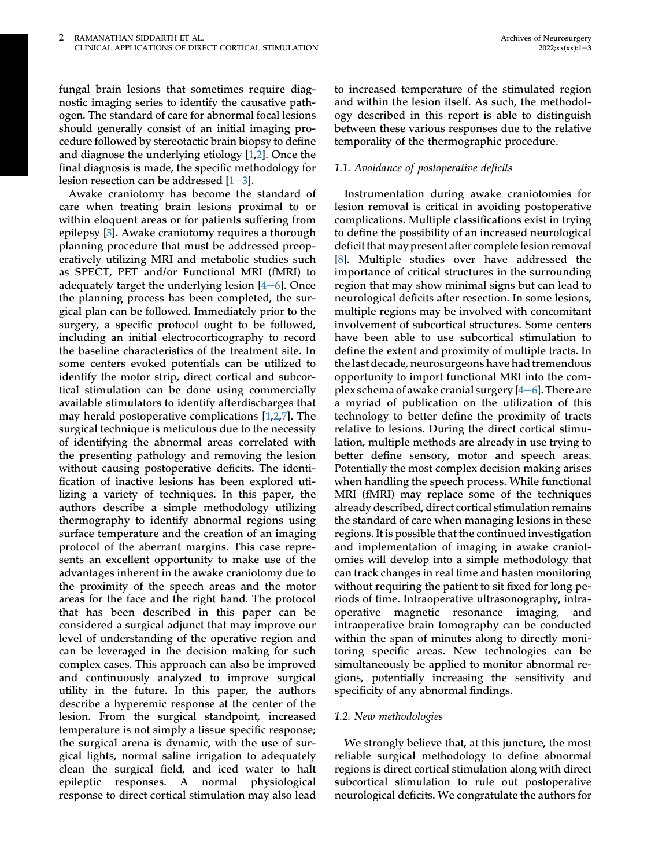fungal brain lesions that sometimes require diagnostic imaging series to identify the causative pathogen. The standard of care for abnormal focal lesions should generally consist of an initial imaging procedure followed by stereotactic brain biopsy to define and diagnose the underlying etiology [[1](#page-4-0),[2\]](#page-4-1). Once the final diagnosis is made, the specific methodology for lesion resection can be addressed  $[1-3]$  $[1-3]$  $[1-3]$  $[1-3]$ .

Awake craniotomy has become the standard of care when treating brain lesions proximal to or within eloquent areas or for patients suffering from epilepsy [[3\]](#page-4-2). Awake craniotomy requires a thorough planning procedure that must be addressed preoperatively utilizing MRI and metabolic studies such as SPECT, PET and/or Functional MRI (fMRI) to adequately target the underlying lesion  $[4-6]$  $[4-6]$  $[4-6]$ . Once the planning process has been completed, the surgical plan can be followed. Immediately prior to the surgery, a specific protocol ought to be followed, including an initial electrocorticography to record the baseline characteristics of the treatment site. In some centers evoked potentials can be utilized to identify the motor strip, direct cortical and subcortical stimulation can be done using commercially available stimulators to identify afterdischarges that may herald postoperative complications [[1](#page-4-0)[,2](#page-4-1),[7\]](#page-4-4). The surgical technique is meticulous due to the necessity of identifying the abnormal areas correlated with the presenting pathology and removing the lesion without causing postoperative deficits. The identification of inactive lesions has been explored utilizing a variety of techniques. In this paper, the authors describe a simple methodology utilizing thermography to identify abnormal regions using surface temperature and the creation of an imaging protocol of the aberrant margins. This case represents an excellent opportunity to make use of the advantages inherent in the awake craniotomy due to the proximity of the speech areas and the motor areas for the face and the right hand. The protocol that has been described in this paper can be considered a surgical adjunct that may improve our level of understanding of the operative region and can be leveraged in the decision making for such complex cases. This approach can also be improved and continuously analyzed to improve surgical utility in the future. In this paper, the authors describe a hyperemic response at the center of the lesion. From the surgical standpoint, increased temperature is not simply a tissue specific response; the surgical arena is dynamic, with the use of surgical lights, normal saline irrigation to adequately clean the surgical field, and iced water to halt epileptic responses. A normal physiological response to direct cortical stimulation may also lead

to increased temperature of the stimulated region and within the lesion itself. As such, the methodology described in this report is able to distinguish between these various responses due to the relative temporality of the thermographic procedure.

#### 1.1. Avoidance of postoperative deficits

Instrumentation during awake craniotomies for lesion removal is critical in avoiding postoperative complications. Multiple classifications exist in trying to define the possibility of an increased neurological deficit that may present after complete lesion removal [\[8](#page-4-5)]. Multiple studies over have addressed the importance of critical structures in the surrounding region that may show minimal signs but can lead to neurological deficits after resection. In some lesions, multiple regions may be involved with concomitant involvement of subcortical structures. Some centers have been able to use subcortical stimulation to define the extent and proximity of multiple tracts. In the last decade, neurosurgeons have had tremendous opportunity to import functional MRI into the complex schema of awake cranial surgery  $[4-6]$  $[4-6]$  $[4-6]$ . There are a myriad of publication on the utilization of this technology to better define the proximity of tracts relative to lesions. During the direct cortical stimulation, multiple methods are already in use trying to better define sensory, motor and speech areas. Potentially the most complex decision making arises when handling the speech process. While functional MRI (fMRI) may replace some of the techniques already described, direct cortical stimulation remains the standard of care when managing lesions in these regions. It is possible that the continued investigation and implementation of imaging in awake craniotomies will develop into a simple methodology that can track changes in real time and hasten monitoring without requiring the patient to sit fixed for long periods of time. Intraoperative ultrasonography, intraoperative magnetic resonance imaging, and intraoperative brain tomography can be conducted within the span of minutes along to directly monitoring specific areas. New technologies can be simultaneously be applied to monitor abnormal regions, potentially increasing the sensitivity and specificity of any abnormal findings.

#### 1.2. New methodologies

We strongly believe that, at this juncture, the most reliable surgical methodology to define abnormal regions is direct cortical stimulation along with direct subcortical stimulation to rule out postoperative neurological deficits. We congratulate the authors for